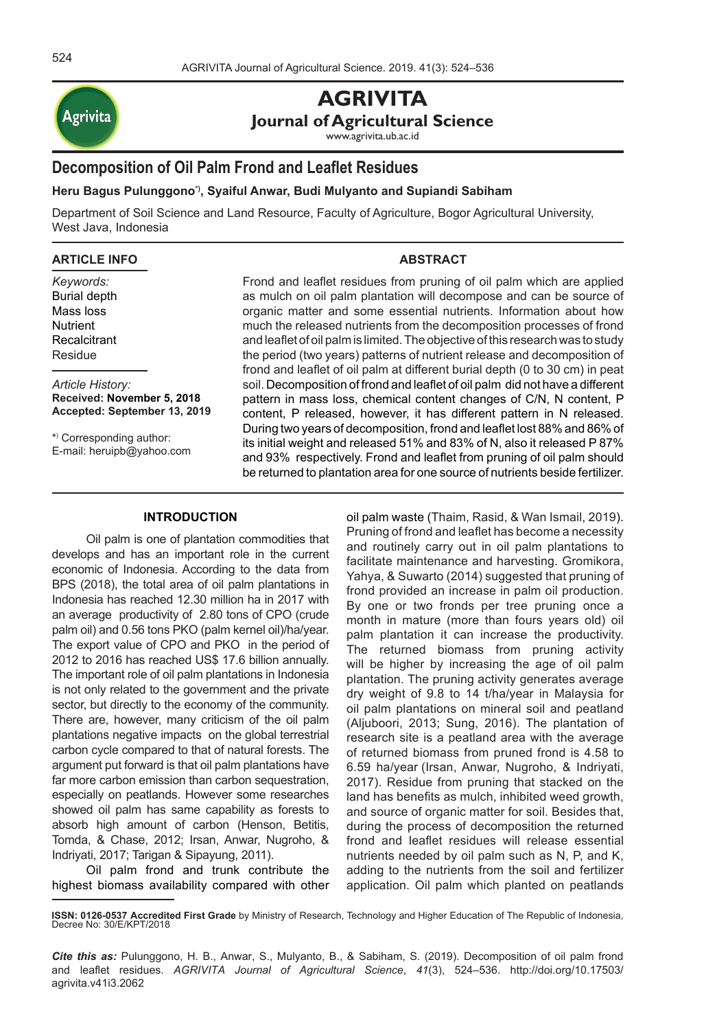

# **AGRIVITA Journal of Agricultural Science**

www.agrivita.ub.ac.id

# **Decomposition of Oil Palm Frond and Leaflet Residues**

**Heru Bagus Pulunggono\*), Syaiful Anwar, Budi Mulyanto and Supiandi Sabiham**

Department of Soil Science and Land Resource, Faculty of Agriculture, Bogor Agricultural University, West Java, Indonesia

#### **ARTICLE INFO**

*Keywords:* Burial depth Mass loss **Nutrient Recalcitrant** Residue

*Article History:* **Received: November 5, 2018 Accepted: September 13, 2019**

\*) Corresponding author: E-mail: heruipb@yahoo.com

# **ABSTRACT**

Frond and leaflet residues from pruning of oil palm which are applied as mulch on oil palm plantation will decompose and can be source of organic matter and some essential nutrients. Information about how much the released nutrients from the decomposition processes of frond and leaflet of oil palm is limited. The objective of this research was to study the period (two years) patterns of nutrient release and decomposition of frond and leaflet of oil palm at different burial depth (0 to 30 cm) in peat soil. Decomposition of frond and leaflet of oil palm did not have a different pattern in mass loss, chemical content changes of C/N, N content, P content, P released, however, it has different pattern in N released. During two years of decomposition, frond and leaflet lost 88% and 86% of its initial weight and released 51% and 83% of N, also it released P 87% and 93% respectively. Frond and leaflet from pruning of oil palm should be returned to plantation area for one source of nutrients beside fertilizer.

#### **INTRODUCTION**

Oil palm is one of plantation commodities that develops and has an important role in the current economic of Indonesia. According to the data from BPS (2018), the total area of oil palm plantations in Indonesia has reached 12.30 million ha in 2017 with an average productivity of 2.80 tons of CPO (crude palm oil) and 0.56 tons PKO (palm kernel oil)/ha/year. The export value of CPO and PKO in the period of 2012 to 2016 has reached US\$ 17.6 billion annually. The important role of oil palm plantations in Indonesia is not only related to the government and the private sector, but directly to the economy of the community. There are, however, many criticism of the oil palm plantations negative impacts on the global terrestrial carbon cycle compared to that of natural forests. The argument put forward is that oil palm plantations have far more carbon emission than carbon sequestration, especially on peatlands. However some researches showed oil palm has same capability as forests to absorb high amount of carbon (Henson, Betitis, Tomda, & Chase, 2012; Irsan, Anwar, Nugroho, & Indriyati, 2017; Tarigan & Sipayung, 2011).

Oil palm frond and trunk contribute the highest biomass availability compared with other oil palm waste (Thaim, Rasid, & Wan Ismail, 2019). Pruning of frond and leaflet has become a necessity and routinely carry out in oil palm plantations to facilitate maintenance and harvesting. Gromikora, Yahya, & Suwarto (2014) suggested that pruning of frond provided an increase in palm oil production. By one or two fronds per tree pruning once a month in mature (more than fours years old) oil palm plantation it can increase the productivity. The returned biomass from pruning activity will be higher by increasing the age of oil palm plantation. The pruning activity generates average dry weight of 9.8 to 14 t/ha/year in Malaysia for oil palm plantations on mineral soil and peatland (Aljuboori, 2013; Sung, 2016). The plantation of research site is a peatland area with the average of returned biomass from pruned frond is 4.58 to 6.59 ha/year (Irsan, Anwar, Nugroho, & Indriyati, 2017). Residue from pruning that stacked on the land has benefits as mulch, inhibited weed growth, and source of organic matter for soil. Besides that, during the process of decomposition the returned frond and leaflet residues will release essential nutrients needed by oil palm such as N, P, and K, adding to the nutrients from the soil and fertilizer application. Oil palm which planted on peatlands

**ISSN: 0126-0537 Accredited First Grade** by Ministry of Research, Technology and Higher Education of The Republic of Indonesia, Decree No: 30/E/KPT/2018

*Cite this as:* Pulunggono, H. B., Anwar, S., Mulyanto, B., & Sabiham, S. (2019). Decomposition of oil palm frond and leaflet residues. *AGRIVITA Journal of Agricultural Science*, *41*(3), 524–536. http://doi.org/10.17503/ agrivita.v41i3.2062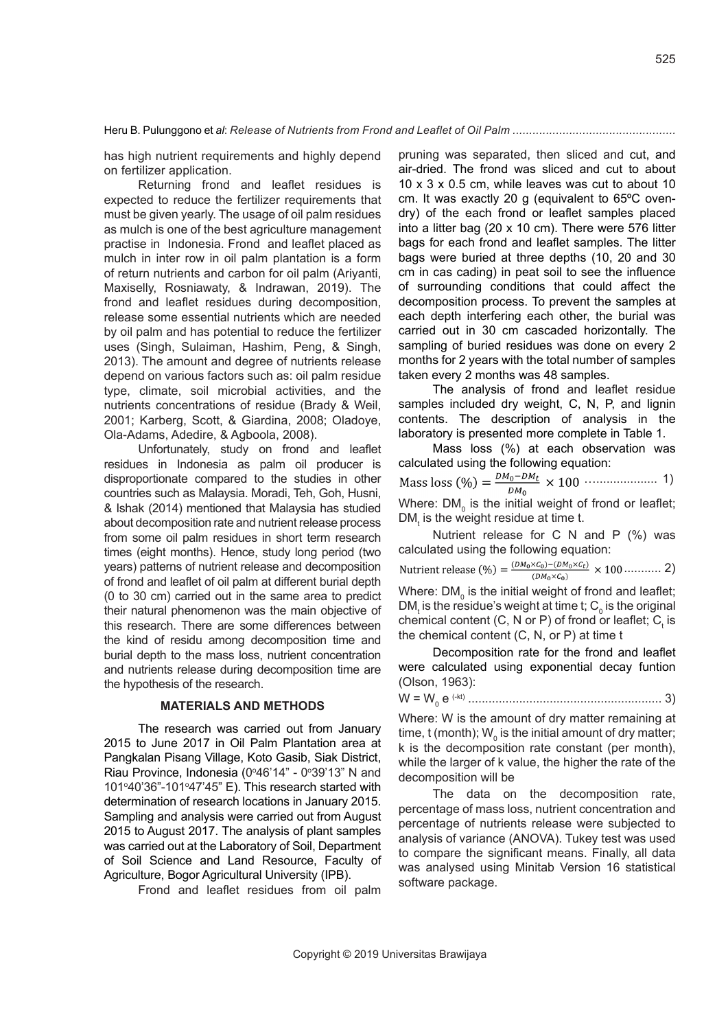has high nutrient requirements and highly depend on fertilizer application.

Returning frond and leaflet residues is expected to reduce the fertilizer requirements that must be given yearly. The usage of oil palm residues as mulch is one of the best agriculture management practise in Indonesia. Frond and leaflet placed as mulch in inter row in oil palm plantation is a form of return nutrients and carbon for oil palm (Ariyanti, Maxiselly, Rosniawaty, & Indrawan, 2019). The frond and leaflet residues during decomposition, release some essential nutrients which are needed by oil palm and has potential to reduce the fertilizer uses (Singh, Sulaiman, Hashim, Peng, & Singh, 2013). The amount and degree of nutrients release depend on various factors such as: oil palm residue type, climate, soil microbial activities, and the nutrients concentrations of residue (Brady & Weil, 2001; Karberg, Scott, & Giardina, 2008; Oladoye, Ola-Adams, Adedire, & Agboola, 2008).

Unfortunately, study on frond and leaflet residues in Indonesia as palm oil producer is disproportionate compared to the studies in other countries such as Malaysia. Moradi, Teh, Goh, Husni, & Ishak (2014) mentioned that Malaysia has studied about decomposition rate and nutrient release process from some oil palm residues in short term research times (eight months). Hence, study long period (two years) patterns of nutrient release and decomposition of frond and leaflet of oil palm at different burial depth (0 to 30 cm) carried out in the same area to predict their natural phenomenon was the main objective of this research. There are some differences between the kind of residu among decomposition time and burial depth to the mass loss, nutrient concentration and nutrients release during decomposition time are the hypothesis of the research.

#### **MATERIALS AND METHODS**

The research was carried out from January 2015 to June 2017 in Oil Palm Plantation area at Pangkalan Pisang Village, Koto Gasib, Siak District, Riau Province, Indonesia (0°46'14" - 0°39'13" N and  $101°40'36" - 101°47'45" E$ . This research started with determination of research locations in January 2015. Sampling and analysis were carried out from August 2015 to August 2017. The analysis of plant samples was carried out at the Laboratory of Soil, Department of Soil Science and Land Resource, Faculty of Agriculture, Bogor Agricultural University (IPB).

Frond and leaflet residues from oil palm

pruning was separated, then sliced and cut, and air-dried. The frond was sliced and cut to about 10 x 3 x 0.5 cm, while leaves was cut to about 10 cm. It was exactly 20 g (equivalent to 65ºC ovendry) of the each frond or leaflet samples placed into a litter bag (20 x 10 cm). There were 576 litter bags for each frond and leaflet samples. The litter bags were buried at three depths (10, 20 and 30 cm in cas cading) in peat soil to see the influence of surrounding conditions that could affect the decomposition process. To prevent the samples at each depth interfering each other, the burial was carried out in 30 cm cascaded horizontally. The sampling of buried residues was done on every 2 months for 2 years with the total number of samples taken every 2 months was 48 samples.

The analysis of frond and leaflet residue samples included dry weight, C, N, P, and lignin contents. The description of analysis in the laboratory is presented more complete in Table 1.

Mass loss (%) at each observation was calculated using the following equation: ….................. 1) Where: DM $_{\textrm{\tiny{\text{0}}}}$  is the initial weight of frond or leaflet;

 $DM<sub>t</sub>$  is the weight residue at time t. Nutrient release for C N and P (%) was calculated using the following equation: ........... 2)  $(DM_0\times C_0)$ Where: DM $_{\rm o}$  is the initial weight of frond and leaflet; DM $_{\rm t}$  is the residue's weight at time t;  ${\rm C}^{\phantom{\dagger}}_{\rm o}$  is the original

chemical content (C, N or P) of frond or leaflet;  $C_{t}$  is the chemical content (C, N, or P) at time t Decomposition rate for the frond and leaflet

were calculated using exponential decay funtion (Olson, 1963):

W = W0 e (-kt) ......................................................... 3)

Where: W is the amount of dry matter remaining at time, t (month);  $\mathsf{W}_{_{\mathrm{0}}}$  is the initial amount of dry matter; k is the decomposition rate constant (per month), while the larger of k value, the higher the rate of the decomposition will be

The data on the decomposition rate, percentage of mass loss, nutrient concentration and percentage of nutrients release were subjected to analysis of variance (ANOVA). Tukey test was used to compare the significant means. Finally, all data was analysed using Minitab Version 16 statistical software package.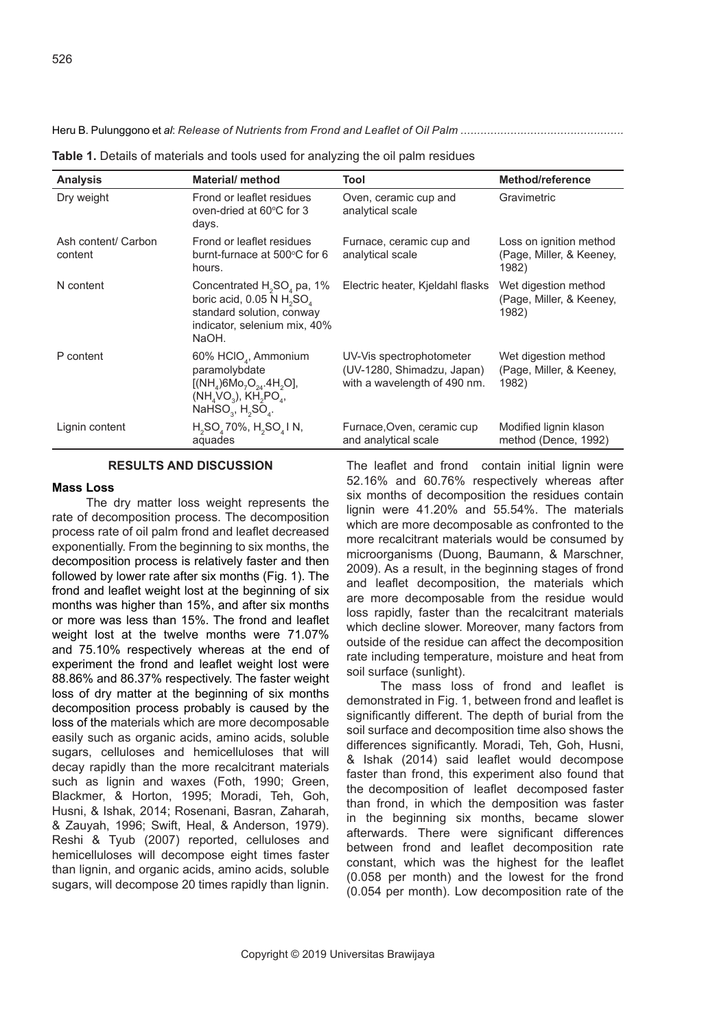| <b>Analysis</b>                | <b>Material/ method</b>                                                                                                                        | Tool                                                                                   | Method/reference                                             |
|--------------------------------|------------------------------------------------------------------------------------------------------------------------------------------------|----------------------------------------------------------------------------------------|--------------------------------------------------------------|
| Dry weight                     | Frond or leaflet residues<br>oven-dried at 60°C for 3<br>days.                                                                                 | Oven, ceramic cup and<br>analytical scale                                              | Gravimetric                                                  |
| Ash content/ Carbon<br>content | Frond or leaflet residues<br>burnt-furnace at 500°C for 6<br>hours.                                                                            | Furnace, ceramic cup and<br>analytical scale                                           | Loss on ignition method<br>(Page, Miller, & Keeney,<br>1982) |
| N content                      | Concentrated $H_2SO_4$ pa, 1%<br>boric acid, $0.05 \text{ N H}$ , $SO_a$<br>standard solution, conway<br>indicator, selenium mix, 40%<br>NaOH. | Electric heater, Kjeldahl flasks                                                       | Wet digestion method<br>(Page, Miller, & Keeney,<br>1982)    |
| P content                      | 60% HCIO <sub>4</sub> , Ammonium<br>paramolybdate<br>$[(NH4)6Mo7O24.4H2O],$<br>$(NH_4VO_3)$ , $KH_2PO_4$ ,<br>NaHSO <sub>3</sub> , $H_2SO_4$ . | UV-Vis spectrophotometer<br>(UV-1280, Shimadzu, Japan)<br>with a wavelength of 490 nm. | Wet digestion method<br>(Page, Miller, & Keeney,<br>1982)    |
| Lignin content                 | $H_2SO_4$ 70%, $H_2SO_4$ I N,<br>aquades                                                                                                       | Furnace, Oven, ceramic cup<br>and analytical scale                                     | Modified lignin klason<br>method (Dence, 1992)               |

**Table 1.** Details of materials and tools used for analyzing the oil palm residues

#### **RESULTS AND DISCUSSION**

#### **Mass Loss**

The dry matter loss weight represents the rate of decomposition process. The decomposition process rate of oil palm frond and leaflet decreased exponentially. From the beginning to six months, the decomposition process is relatively faster and then followed by lower rate after six months (Fig. 1). The frond and leaflet weight lost at the beginning of six months was higher than 15%, and after six months or more was less than 15%. The frond and leaflet weight lost at the twelve months were 71.07% and 75.10% respectively whereas at the end of experiment the frond and leaflet weight lost were 88.86% and 86.37% respectively. The faster weight loss of dry matter at the beginning of six months decomposition process probably is caused by the loss of the materials which are more decomposable easily such as organic acids, amino acids, soluble sugars, celluloses and hemicelluloses that will decay rapidly than the more recalcitrant materials such as lignin and waxes (Foth, 1990; Green, Blackmer, & Horton, 1995; Moradi, Teh, Goh, Husni, & Ishak, 2014; Rosenani, Basran, Zaharah, & Zauyah, 1996; Swift, Heal, & Anderson, 1979). Reshi & Tyub (2007) reported, celluloses and hemicelluloses will decompose eight times faster than lignin, and organic acids, amino acids, soluble sugars, will decompose 20 times rapidly than lignin.

The leaflet and frond contain initial lignin were 52.16% and 60.76% respectively whereas after six months of decomposition the residues contain lignin were 41.20% and 55.54%. The materials which are more decomposable as confronted to the more recalcitrant materials would be consumed by microorganisms (Duong, Baumann, & Marschner, 2009). As a result, in the beginning stages of frond and leaflet decomposition, the materials which are more decomposable from the residue would loss rapidly, faster than the recalcitrant materials which decline slower. Moreover, many factors from outside of the residue can affect the decomposition rate including temperature, moisture and heat from soil surface (sunlight).

The mass loss of frond and leaflet is demonstrated in Fig. 1, between frond and leaflet is significantly different. The depth of burial from the soil surface and decomposition time also shows the differences significantly. Moradi, Teh, Goh, Husni, & Ishak (2014) said leaflet would decompose faster than frond, this experiment also found that the decomposition of leaflet decomposed faster than frond, in which the demposition was faster in the beginning six months, became slower afterwards. There were significant differences between frond and leaflet decomposition rate constant, which was the highest for the leaflet (0.058 per month) and the lowest for the frond (0.054 per month). Low decomposition rate of the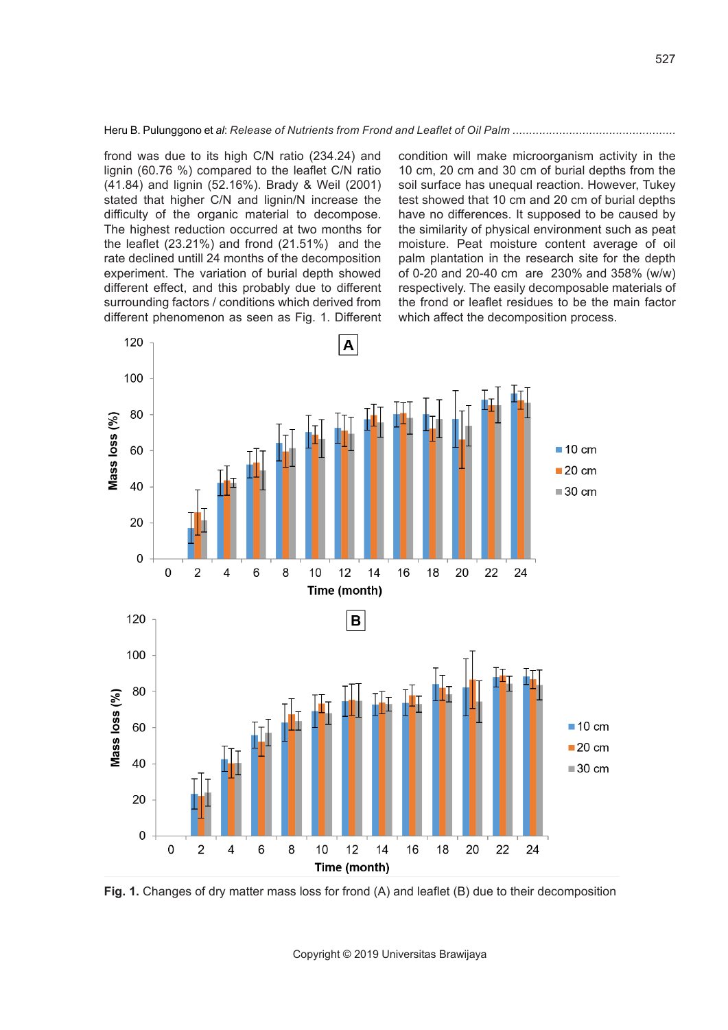frond was due to its high C/N ratio (234.24) and lignin (60.76 %) compared to the leaflet C/N ratio (41.84) and lignin (52.16%). Brady & Weil (2001) stated that higher C/N and lignin/N increase the difficulty of the organic material to decompose. The highest reduction occurred at two months for the leaflet (23.21%) and frond (21.51%) and the rate declined untill 24 months of the decomposition experiment. The variation of burial depth showed different effect, and this probably due to different surrounding factors / conditions which derived from different phenomenon as seen as Fig. 1. Different condition will make microorganism activity in the 10 cm, 20 cm and 30 cm of burial depths from the soil surface has unequal reaction. However, Tukey test showed that 10 cm and 20 cm of burial depths have no differences. It supposed to be caused by the similarity of physical environment such as peat moisture. Peat moisture content average of oil palm plantation in the research site for the depth of 0-20 and 20-40 cm are 230% and 358% (w/w) respectively. The easily decomposable materials of the frond or leaflet residues to be the main factor which affect the decomposition process.



**Fig. 1.** Changes of dry matter mass loss for frond (A) and leaflet (B) due to their decomposition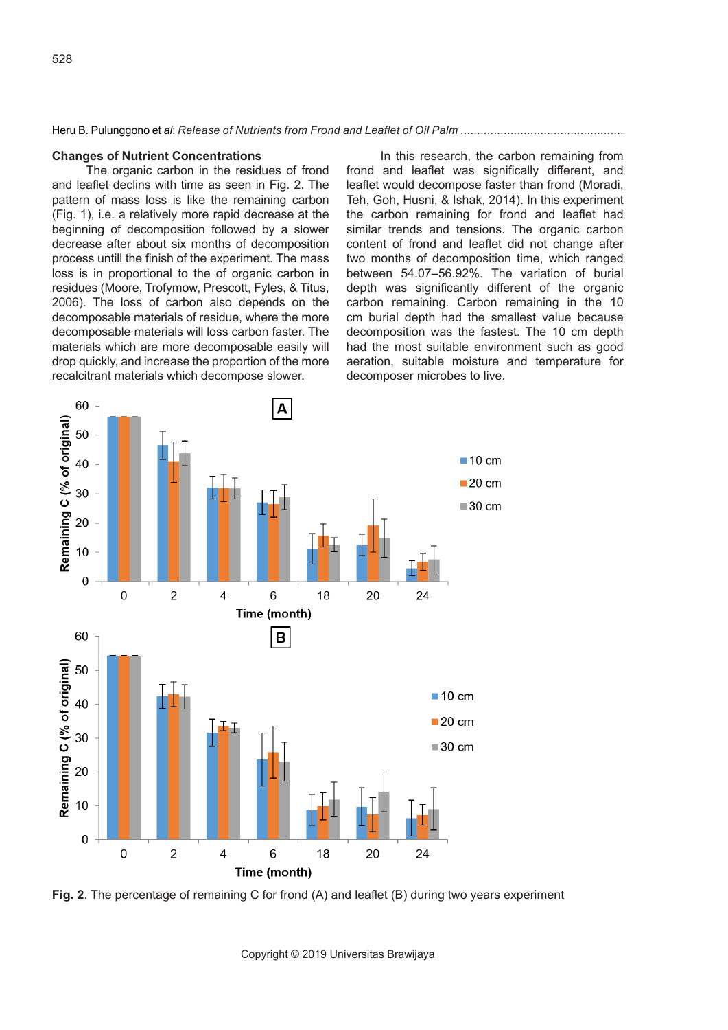#### **Changes of Nutrient Concentrations**

The organic carbon in the residues of frond and leaflet declins with time as seen in Fig. 2. The pattern of mass loss is like the remaining carbon (Fig. 1), i.e. a relatively more rapid decrease at the beginning of decomposition followed by a slower decrease after about six months of decomposition process untill the finish of the experiment. The mass loss is in proportional to the of organic carbon in residues (Moore, Trofymow, Prescott, Fyles, & Titus, 2006). The loss of carbon also depends on the decomposable materials of residue, where the more decomposable materials will loss carbon faster. The materials which are more decomposable easily will drop quickly, and increase the proportion of the more recalcitrant materials which decompose slower.

In this research, the carbon remaining from frond and leaflet was significally different, and leaflet would decompose faster than frond (Moradi, Teh, Goh, Husni, & Ishak, 2014). In this experiment the carbon remaining for frond and leaflet had similar trends and tensions. The organic carbon content of frond and leaflet did not change after two months of decomposition time, which ranged between 54.07–56.92%. The variation of burial depth was significantly different of the organic carbon remaining. Carbon remaining in the 10 cm burial depth had the smallest value because decomposition was the fastest. The 10 cm depth had the most suitable environment such as good aeration, suitable moisture and temperature for decomposer microbes to live.



**Fig. 2**. The percentage of remaining C for frond (A) and leaflet (B) during two years experiment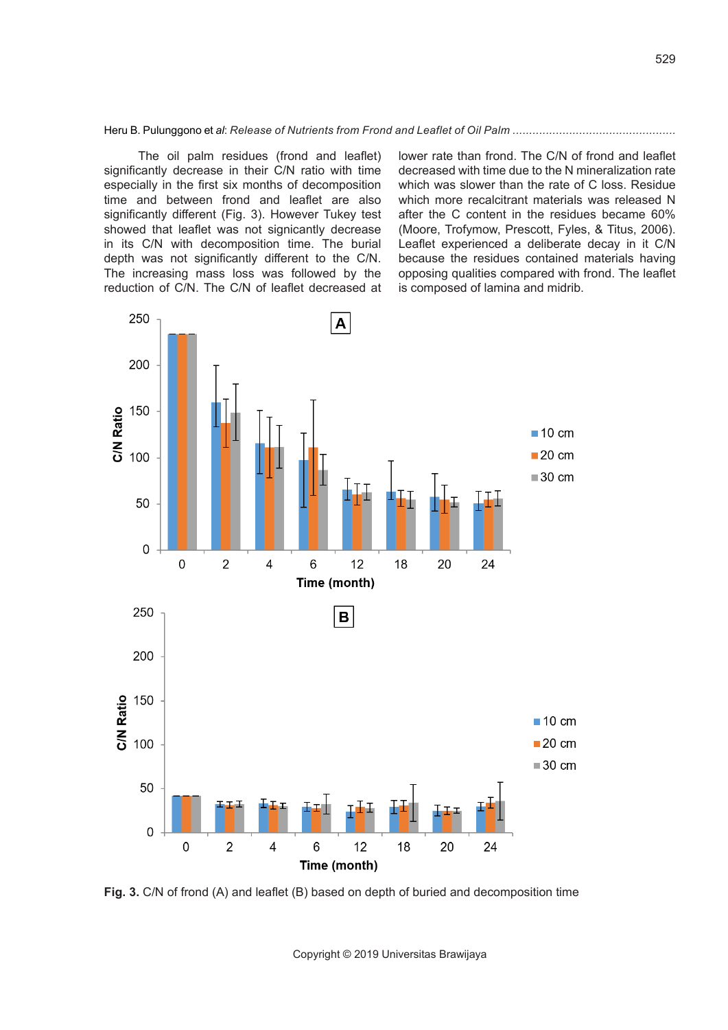The oil palm residues (frond and leaflet) significantly decrease in their C/N ratio with time especially in the first six months of decomposition time and between frond and leaflet are also significantly different (Fig. 3). However Tukey test showed that leaflet was not signicantly decrease in its C/N with decomposition time. The burial depth was not significantly different to the C/N. The increasing mass loss was followed by the reduction of C/N. The C/N of leaflet decreased at

250 A 200 150 C/N Ratio  $\blacksquare$  10 cm  $\blacksquare$  20 cm 100 ■30 cm 50  $\mathbf 0$  $\Omega$  $\overline{2}$  $\overline{\mathcal{L}}$ 6  $12$ 18 20 24 Time (month) 250 B 200  $rac{150}{50}$ <br> $rac{150}{50}$ <br> $rac{100}{50}$  $\blacksquare$  10 cm  $20 \text{ cm}$  $\equiv$  30 cm 50  $\Omega$  $\overline{0}$  $\overline{2}$  $\overline{\mathcal{A}}$ 6 18 20 24  $12$ Time (month)

**Fig. 3.** C/N of frond (A) and leaflet (B) based on depth of buried and decomposition time

Copyright © 2019 Universitas Brawijaya

lower rate than frond. The C/N of frond and leaflet decreased with time due to the N mineralization rate which was slower than the rate of C loss. Residue which more recalcitrant materials was released N after the C content in the residues became 60% (Moore, Trofymow, Prescott, Fyles, & Titus, 2006). Leaflet experienced a deliberate decay in it C/N because the residues contained materials having opposing qualities compared with frond. The leaflet

is composed of lamina and midrib.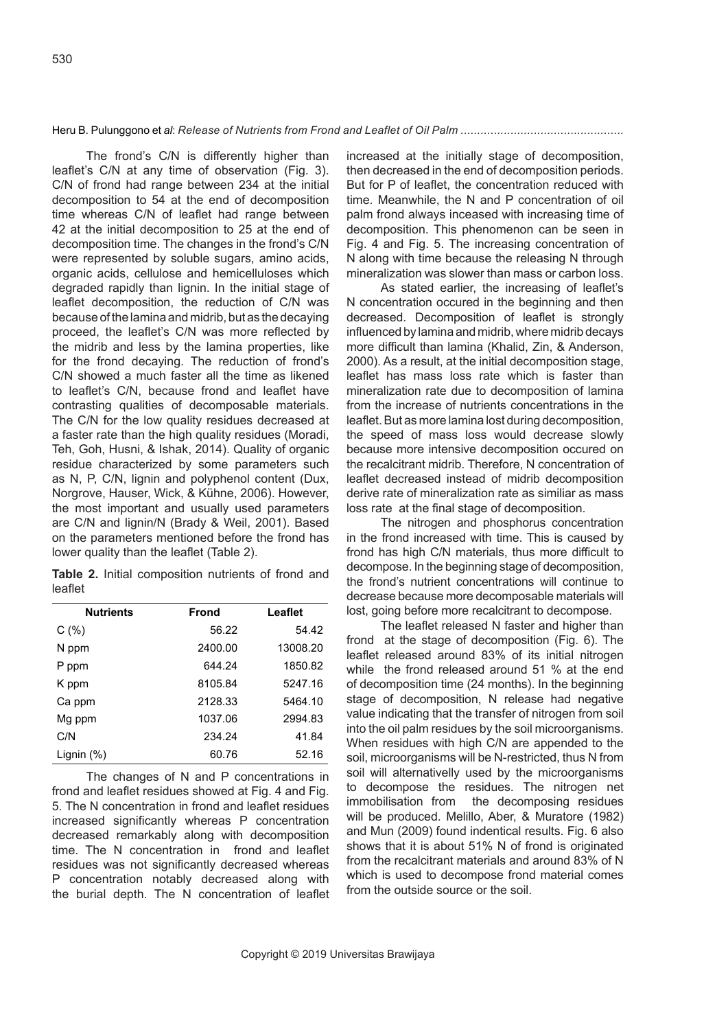The frond's C/N is differently higher than leaflet's C/N at any time of observation (Fig. 3). C/N of frond had range between 234 at the initial decomposition to 54 at the end of decomposition time whereas C/N of leaflet had range between 42 at the initial decomposition to 25 at the end of decomposition time. The changes in the frond's C/N were represented by soluble sugars, amino acids, organic acids, cellulose and hemicelluloses which degraded rapidly than lignin. In the initial stage of leaflet decomposition, the reduction of C/N was because of the lamina and midrib, but as the decaying proceed, the leaflet's C/N was more reflected by the midrib and less by the lamina properties, like for the frond decaying. The reduction of frond's C/N showed a much faster all the time as likened to leaflet's C/N, because frond and leaflet have contrasting qualities of decomposable materials. The C/N for the low quality residues decreased at a faster rate than the high quality residues (Moradi, Teh, Goh, Husni, & Ishak, 2014). Quality of organic residue characterized by some parameters such as N, P, C/N, lignin and polyphenol content (Dux, Norgrove, Hauser, Wick, & Kühne, 2006). However, the most important and usually used parameters are C/N and lignin/N (Brady & Weil, 2001). Based on the parameters mentioned before the frond has lower quality than the leaflet (Table 2).

**Table 2.** Initial composition nutrients of frond and leaflet

| <b>Nutrients</b> | <b>Frond</b> | Leaflet  |
|------------------|--------------|----------|
| C(%)             | 56.22        | 54.42    |
| N ppm            | 2400.00      | 13008.20 |
| P ppm            | 644.24       | 1850.82  |
| K ppm            | 8105.84      | 5247.16  |
| Ca ppm           | 2128.33      | 5464.10  |
| Mg ppm           | 1037.06      | 2994.83  |
| C/N              | 234.24       | 41.84    |
| Lignin $(\%)$    | 60.76        | 52.16    |

The changes of N and P concentrations in frond and leaflet residues showed at Fig. 4 and Fig. 5. The N concentration in frond and leaflet residues increased significantly whereas P concentration decreased remarkably along with decomposition time. The N concentration in frond and leaflet residues was not significantly decreased whereas P concentration notably decreased along with the burial depth. The N concentration of leaflet

increased at the initially stage of decomposition, then decreased in the end of decomposition periods. But for P of leaflet, the concentration reduced with time. Meanwhile, the N and P concentration of oil palm frond always inceased with increasing time of decomposition. This phenomenon can be seen in Fig. 4 and Fig. 5. The increasing concentration of N along with time because the releasing N through mineralization was slower than mass or carbon loss.

As stated earlier, the increasing of leaflet's N concentration occured in the beginning and then decreased. Decomposition of leaflet is strongly influenced by lamina and midrib, where midrib decays more difficult than lamina (Khalid, Zin, & Anderson, 2000). As a result, at the initial decomposition stage, leaflet has mass loss rate which is faster than mineralization rate due to decomposition of lamina from the increase of nutrients concentrations in the leaflet. But as more lamina lost during decomposition, the speed of mass loss would decrease slowly because more intensive decomposition occured on the recalcitrant midrib. Therefore, N concentration of leaflet decreased instead of midrib decomposition derive rate of mineralization rate as similiar as mass loss rate at the final stage of decomposition.

The nitrogen and phosphorus concentration in the frond increased with time. This is caused by frond has high C/N materials, thus more difficult to decompose. In the beginning stage of decomposition, the frond's nutrient concentrations will continue to decrease because more decomposable materials will lost, going before more recalcitrant to decompose.

The leaflet released N faster and higher than frond at the stage of decomposition (Fig. 6). The leaflet released around 83% of its initial nitrogen while the frond released around 51 % at the end of decomposition time (24 months). In the beginning stage of decomposition, N release had negative value indicating that the transfer of nitrogen from soil into the oil palm residues by the soil microorganisms. When residues with high C/N are appended to the soil, microorganisms will be N-restricted, thus N from soil will alternativelly used by the microorganisms to decompose the residues. The nitrogen net<br>immobilisation from the decomposing residues the decomposing residues will be produced. Melillo, Aber, & Muratore (1982) and Mun (2009) found indentical results. Fig. 6 also shows that it is about 51% N of frond is originated from the recalcitrant materials and around 83% of N which is used to decompose frond material comes from the outside source or the soil.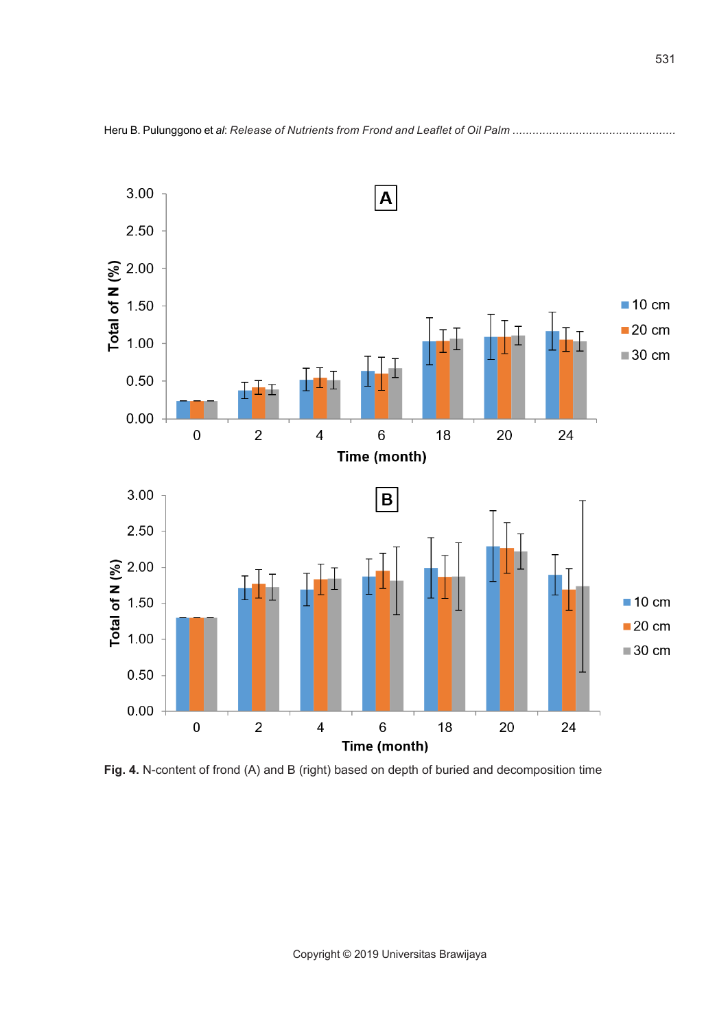

**Fig. 4.** N-content of frond (A) and B (right) based on depth of buried and decomposition time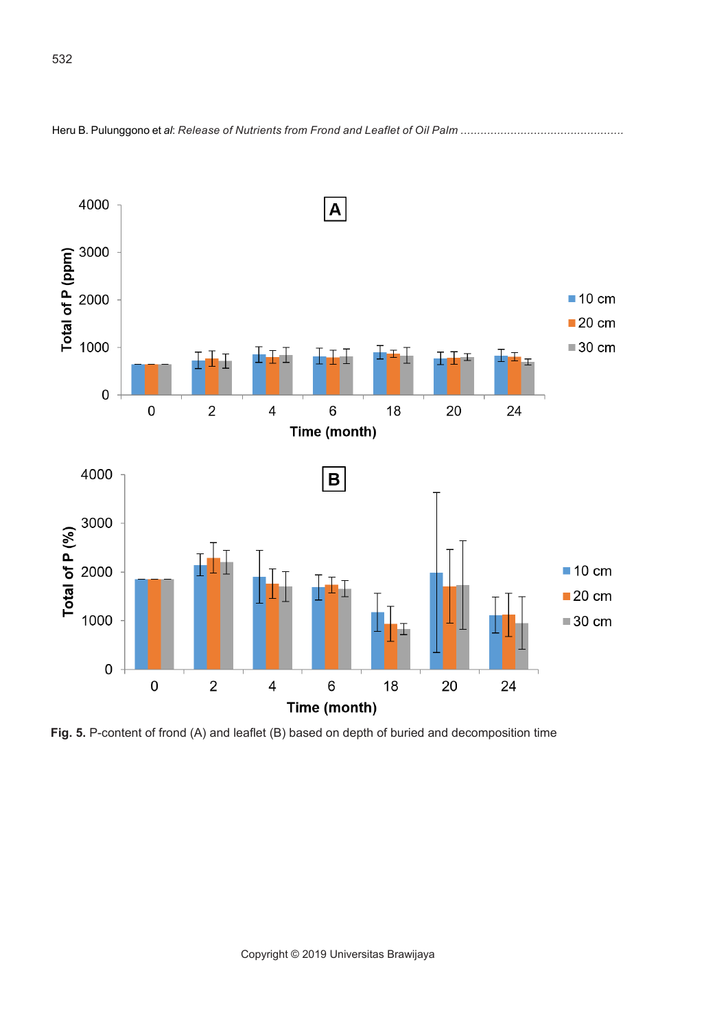

Heru B. Pulunggono et *al*: *Release of Nutrients from Frond and Leaflet of Oil Palm .................................................* 

**Fig. 5.** P-content of frond (A) and leaflet (B) based on depth of buried and decomposition time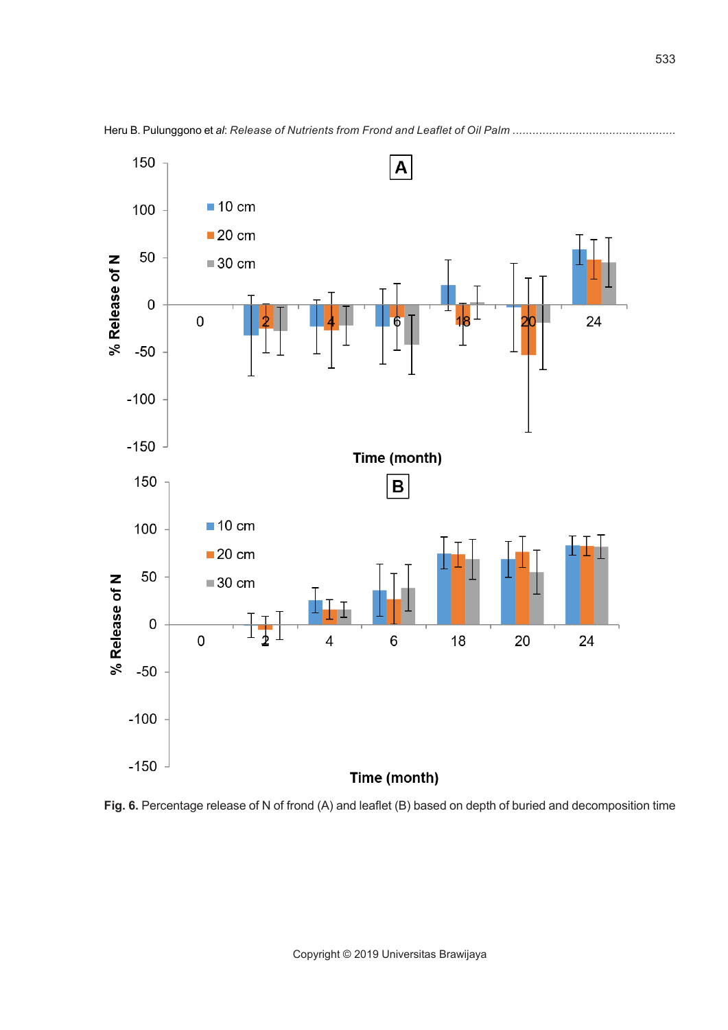

Heru B. Pulunggono et *al*: *Release of Nutrients from Frond and Leaflet of Oil Palm .................................................* 

**Fig. 6.** Percentage release of N of frond (A) and leaflet (B) based on depth of buried and decomposition time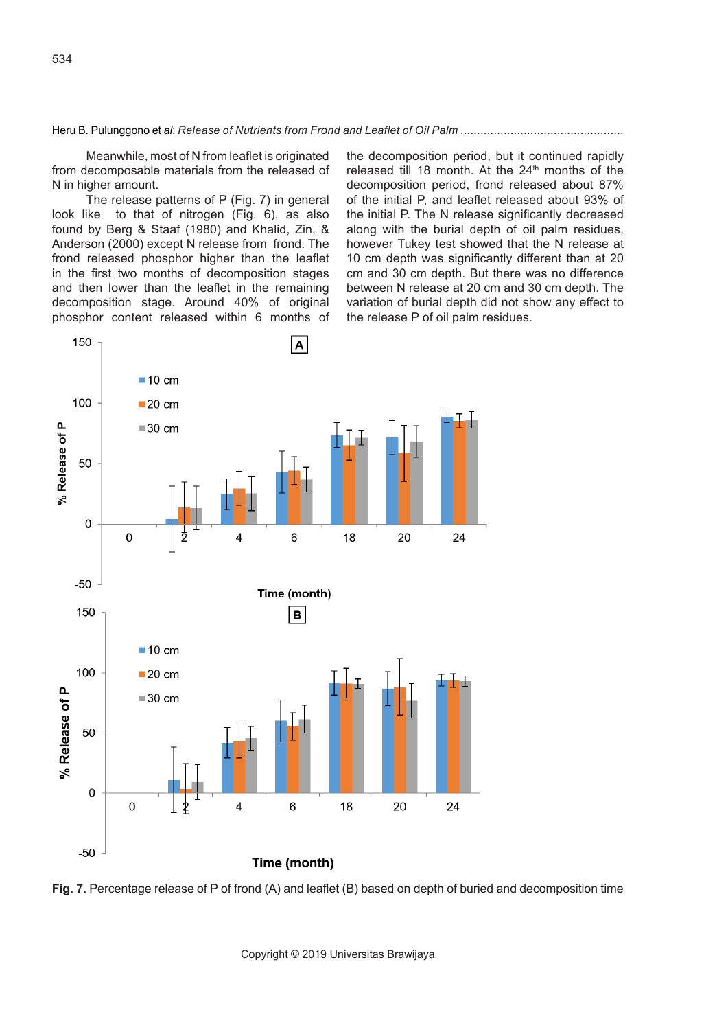Meanwhile, most of N from leaflet is originated from decomposable materials from the released of N in higher amount.

The release patterns of P (Fig. 7) in general look like to that of nitrogen (Fig. 6), as also found by Berg & Staaf (1980) and Khalid, Zin, & Anderson (2000) except N release from frond. The frond released phosphor higher than the leaflet in the first two months of decomposition stages and then lower than the leaflet in the remaining decomposition stage. Around 40% of original phosphor content released within 6 months of the decomposition period, but it continued rapidly released till 18 month. At the 24<sup>th</sup> months of the decomposition period, frond released about 87% of the initial P, and leaflet released about 93% of the initial P. The N release significantly decreased along with the burial depth of oil palm residues, however Tukey test showed that the N release at 10 cm depth was significantly different than at 20 cm and 30 cm depth. But there was no difference between N release at 20 cm and 30 cm depth. The variation of burial depth did not show any effect to the release P of oil palm residues.



**Fig. 7.** Percentage release of P of frond (A) and leaflet (B) based on depth of buried and decomposition time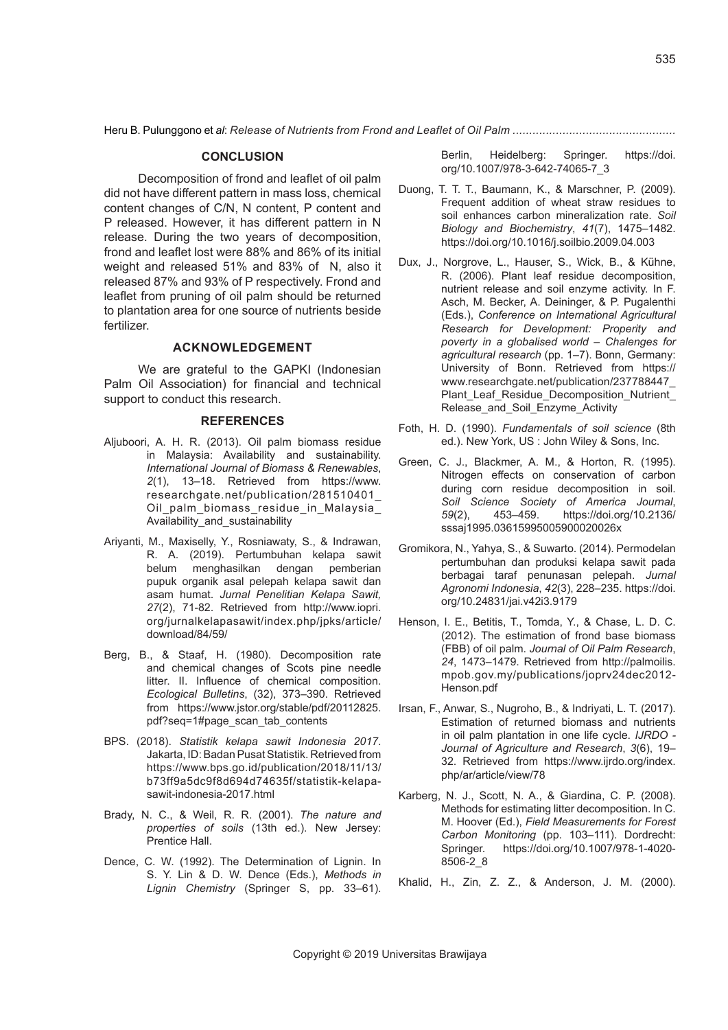## **CONCLUSION**

Decomposition of frond and leaflet of oil palm did not have different pattern in mass loss, chemical content changes of C/N, N content, P content and P released. However, it has different pattern in N release. During the two years of decomposition, frond and leaflet lost were 88% and 86% of its initial weight and released 51% and 83% of N, also it released 87% and 93% of P respectively. Frond and leaflet from pruning of oil palm should be returned to plantation area for one source of nutrients beside fertilizer.

## **ACKNOWLEDGEMENT**

We are grateful to the GAPKI (Indonesian Palm Oil Association) for financial and technical support to conduct this research.

#### **REFERENCES**

- Aljuboori, A. H. R. (2013). Oil palm biomass residue in Malaysia: Availability and sustainability. *International Journal of Biomass & Renewables*, *2*(1), 13–18. Retrieved from https://www. researchgate.net/publication/281510401\_ Oil\_palm\_biomass\_residue\_in\_Malaysia\_ Availability and sustainability
- Ariyanti, M., Maxiselly, Y., Rosniawaty, S., & Indrawan, R. A. (2019). Pertumbuhan kelapa sawit belum menghasilkan dengan pemberian pupuk organik asal pelepah kelapa sawit dan asam humat. *Jurnal Penelitian Kelapa Sawit, 27*(2), 71-82. Retrieved from http://www.iopri. org/jurnalkelapasawit/index.php/jpks/article/ download/84/59/
- Berg, B., & Staaf, H. (1980). Decomposition rate and chemical changes of Scots pine needle litter. II. Influence of chemical composition. *Ecological Bulletins*, (32), 373–390. Retrieved from https://www.jstor.org/stable/pdf/20112825. pdf?seq=1#page\_scan\_tab\_contents
- BPS. (2018). *Statistik kelapa sawit Indonesia 2017*. Jakarta, ID: Badan Pusat Statistik. Retrieved from https://www.bps.go.id/publication/2018/11/13/ b73ff9a5dc9f8d694d74635f/statistik-kelapasawit-indonesia-2017.html
- Brady, N. C., & Weil, R. R. (2001). *The nature and properties of soils* (13th ed.). New Jersey: Prentice Hall.
- Dence, C. W. (1992). The Determination of Lignin. In S. Y. Lin & D. W. Dence (Eds.), *Methods in Lignin Chemistry* (Springer S, pp. 33–61).

Berlin, Heidelberg: Springer. https://doi. org/10.1007/978-3-642-74065-7\_3

- Duong, T. T. T., Baumann, K., & Marschner, P. (2009). Frequent addition of wheat straw residues to soil enhances carbon mineralization rate. *Soil Biology and Biochemistry*, *41*(7), 1475–1482. https://doi.org/10.1016/j.soilbio.2009.04.003
- Dux, J., Norgrove, L., Hauser, S., Wick, B., & Kühne, R. (2006). Plant leaf residue decomposition, nutrient release and soil enzyme activity. In F. Asch, M. Becker, A. Deininger, & P. Pugalenthi (Eds.), *Conference on International Agricultural Research for Development: Properity and poverty in a globalised world – Chalenges for agricultural research* (pp. 1–7). Bonn, Germany: University of Bonn. Retrieved from https:// www.researchgate.net/publication/237788447\_ Plant Leaf Residue Decomposition Nutrient Release and Soil Enzyme Activity
- Foth, H. D. (1990). *Fundamentals of soil science* (8th ed.). New York, US : John Wiley & Sons, Inc.
- Green, C. J., Blackmer, A. M., & Horton, R. (1995). Nitrogen effects on conservation of carbon during corn residue decomposition in soil. *Soil Science Society of America Journal*, *59*(2), 453–459. https://doi.org/10.2136/ sssaj1995.03615995005900020026x
- Gromikora, N., Yahya, S., & Suwarto. (2014). Permodelan pertumbuhan dan produksi kelapa sawit pada berbagai taraf penunasan pelepah. *Jurnal Agronomi Indonesia*, *42*(3), 228–235. https://doi. org/10.24831/jai.v42i3.9179
- Henson, I. E., Betitis, T., Tomda, Y., & Chase, L. D. C. (2012). The estimation of frond base biomass (FBB) of oil palm. *Journal of Oil Palm Research*, *24*, 1473–1479. Retrieved from http://palmoilis. mpob.gov.my/publications/joprv24dec2012- Henson.pdf
- Irsan, F., Anwar, S., Nugroho, B., & Indriyati, L. T. (2017). Estimation of returned biomass and nutrients in oil palm plantation in one life cycle. *IJRDO - Journal of Agriculture and Research*, *3*(6), 19– 32. Retrieved from https://www.ijrdo.org/index. php/ar/article/view/78
- Karberg, N. J., Scott, N. A., & Giardina, C. P. (2008). Methods for estimating litter decomposition. In C. M. Hoover (Ed.), *Field Measurements for Forest Carbon Monitoring* (pp. 103–111). Dordrecht: Springer. https://doi.org/10.1007/978-1-4020- 8506-2\_8
- Khalid, H., Zin, Z. Z., & Anderson, J. M. (2000).